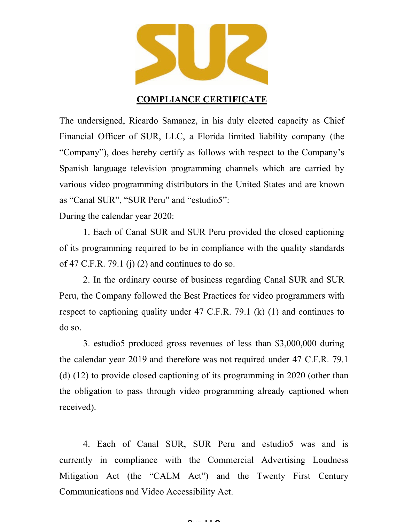

## **COMPLIANCE CERTIFICATE**

The undersigned, Ricardo Samanez, in his duly elected capacity as Chief Financial Officer of SUR, LLC, a Florida limited liability company (the "Company"), does hereby certify as follows with respect to the Company's Spanish language television programming channels which are carried by various video programming distributors in the United States and are known as "Canal SUR", "SUR Peru" and "estudio5":

During the calendar year 2020:

1. Each of Canal SUR and SUR Peru provided the closed captioning of its programming required to be in compliance with the quality standards of 47 C.F.R. 79.1 (j) (2) and continues to do so.

2. In the ordinary course of business regarding Canal SUR and SUR Peru, the Company followed the Best Practices for video programmers with respect to captioning quality under 47 C.F.R. 79.1 (k) (1) and continues to do so.

3. estudio5 produced gross revenues of less than \$3,000,000 during the calendar year 2019 and therefore was not required under 47 C.F.R. 79.1 (d) (12) to provide closed captioning of its programming in 2020 (other than the obligation to pass through video programming already captioned when received).

4. Each of Canal SUR, SUR Peru and estudio5 was and is currently in compliance with the Commercial Advertising Loudness Mitigation Act (the "CALM Act") and the Twenty First Century Communications and Video Accessibility Act.